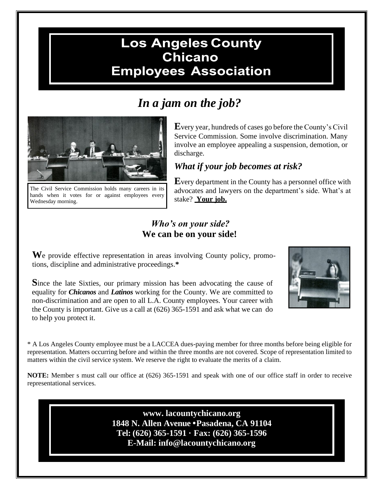## **Los Angeles County Chicano Employees Association**

# *In a jam on the job?*



The Civil Service Commission holds many careers in its hands when it votes for or against employees every Wednesday morning.

**E**very year, hundreds of cases go before the County's Civil Service Commission. Some involve discrimination. Many involve an employee appealing a suspension, demotion, or discharge.

### *What if your job becomes at risk?*

**E**very department in the County has a personnel office with advocates and lawyers on the department's side. What's at stake? **Your job.**

#### *Who's on your side?* **We can be on your side!**

**W**e provide effective representation in areas involving County policy, promotions, discipline and administrative proceedings.**\***

**S**ince the late Sixties, our primary mission has been advocating the cause of equality for *Chicanos* and *Latinos* working for the County. We are committed to non-discrimination and are open to all L.A. County employees. Your career with the County is important. Give us a call at (626) 365-1591 and ask what we can do to help you protect it.



\* A Los Angeles County employee must be a LACCEA dues-paying member for three months before being eligible for representation. Matters occurring before and within the three months are not covered. Scope of representation limited to matters within the civil service system. We reserve the right to evaluate the merits of a claim.

**NOTE:** Member s must call our office at (626) 365-1591 and speak with one of our office staff in order to receive representational services.

> **[www. l](http://www/)acountychicano.org 1848 N. Allen Avenue •Pasadena, CA 91104 Tel: (626) 365-1591 · Fax: (626) 365-1596 E-Mail: [info@lacountychicano.org](mailto:info@lacountychicano.org)**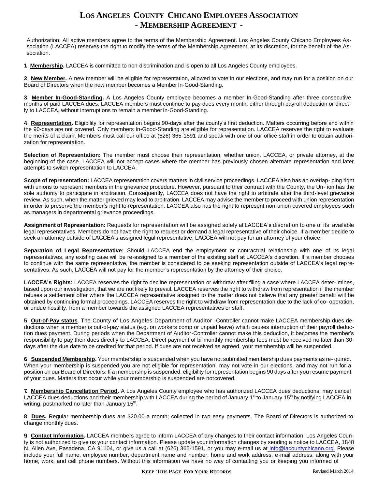#### **LOS ANGELES COUNTY CHICANO EMPLOYEES ASSOCIATION - MEMBERSHIP AGREEMENT -**

Authorization: All active members agree to the terms of the Membership Agreement. Los Angeles County Chicano Employees Association (LACCEA) reserves the right to modify the terms of the Membership Agreement, at its discretion, for the benefit of the Association.

**1. Membership.** LACCEA is committed to non-discrimination and is open to all Los Angeles County employees.

**2. New Member.** A new member will be eligible for representation, allowed to vote in our elections, and may run for a position on our Board of Directors when the new member becomes a Member In-Good-Standing.

**3. Member In-Good-Standing.** A Los Angeles County employee becomes a member In-Good-Standing after three consecutive months of paid LACCEA dues. LACCEA members must continue to pay dues every month, either through payroll deduction or directly to LACCEA, without interruptions to remain a member In-Good-Standing.

**4. Representation.** Eligibility for representation begins 90-days after the county's first deduction. Matters occurring before and within the 90-days are not covered. Only members In-Good-Standing are eligible for representation. LACCEA reserves the right to evaluate the merits of a claim. Members must call our office at (626) 365-1591 and speak with one of our office staff in order to obtain authorization for representation.

**Selection of Representation:** The member must choose their representation, whether union, LACCEA, or private attorney, at the beginning of the case. LACCEA will not accept cases where the member has previously chosen alternate representation and later attempts to switch representation to LACCEA.

**Scope of representation:** LACCEA representation covers matters in civil service proceedings. LACCEA also has an overlap- ping right with unions to represent members in the grievance procedure. However, pursuant to their contract with the County, the Un- ion has the sole authority to participate in arbitration. Consequently, LACCEA does not have the right to arbitrate after the third-level grievance review. As such, when the matter grieved may lead to arbitration, LACCEA may advise the member to proceed with union representation in order to preserve the member's right to representation. LACCEA also has the right to represent non-union covered employees such as managers in departmental grievance proceedings.

**Assignment of Representation:** Requests for representation will be assigned solely at LACCEA's discretion to one of its available legal representatives. Members do not have the right to request or demand a legal representative of their choice. If a member decide to seek an attorney outside of LACCEA's assigned legal representative, LACCEA will not pay for an attorney of your choice.

**Separation of Legal Representative:** Should LACCEA end the employment or contractual relationship with one of its legal representatives, any existing case will be re-assigned to a member of the existing staff at LACCEA's discretion. If a member chooses to continue with the same representative, the member is considered to be seeking representation outside of LACCEA's legal representatives. As such, LACCEA will not pay for the member's representation by the attorney of their choice.

**LACCEA's Rights:** LACCEA reserves the right to decline representation or withdraw after filing a case where LACCEA deter- mines, based upon our investigation, that we are not likely to prevail. LACCEA reserves the right to withdraw from representation if the member refuses a settlement offer where the LACCEA representative assigned to the matter does not believe that any greater benefit will be obtained by continuing formal proceedings. LACCEA reserves the right to withdraw from representation due to the lack of co- operation, or undue hostility, from a member towards the assigned LACCEA representatives or staff.

**5. Out-of-Pay status**. The County of Los Angeles Department of Auditor -Controller cannot make LACCEA membership dues deductions when a member is out-of-pay status (e.g. on workers comp or unpaid leave) which causes interruption of their payroll deduction dues payment. During periods when the Department of Auditor-Controller cannot make this deduction, it becomes the member's responsibility to pay their dues directly to LACCEA. Direct payment of bi-monthly membership fees must be received no later than 30 days after the due date to be credited for that period. If dues are not received as agreed, your membership will be suspended.

**6. Suspended Membership.** Your membership is suspended when you have not submitted membership dues payments as re- quired. When your membership is suspended you are not eligible for representation, may not vote in our elections, and may not run for a position on our Board of Directors. If a membership is suspended, eligibility for representation begins 90 days after you resume payment of your dues. Matters that occur while your membership is suspended are notcovered.

**7. Membership Cancellation Period.** A Los Angeles County employee who has authorized LACCEA dues deductions, may cancel LACCEA dues deductions and their membership with LACCEA during the period of January 1<sup>st</sup> to January 15<sup>th</sup> by notifying LACCEA in writing, postmarked no later than January 15<sup>th</sup>.

**8. Dues.** Regular membership dues are \$20.00 a month; collected in two easy payments. The Board of Directors is authorized to change monthly dues.

**9. Contact Information.** LACCEA members agree to inform LACCEA of any changes to their contact information. Los Angeles County is not authorized to give us your contact information. Please update your information changes by sending a notice to LACCEA, 1848 N. Allen Ave, Pasadena, CA 91104, or give us a call at (626) 365-1591, or you may e-mail us at *[info@lacountychicano.org.](mailto:info@lacountychicano.org.)* Please include your full name, employee number, department name and number, home and work address, e-mail address, along with your home, work, and cell phone numbers. Without this information we have no way of contacting you or keeping you informed of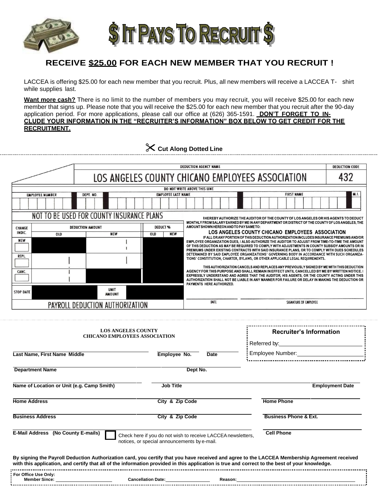

#### **RECEIVE \$25.00 FOR EACH NEW MEMBER THAT YOU RECRUIT !**

LACCEA is offering \$25.00 for each new member that you recruit. Plus, all new members will receive a LACCEA T- shirt while supplies last.

**Want more cash?** There is no limit to the number of members you may recruit, you will receive \$25.00 for each new member that signs up. Please note that you will receive the \$25.00 for each new member that you recruit after the 90-day application period. For more applications, please call our office at (626) 365-1591. **DON'T FORGET TO IN-CLUDE YOUR INFORMATION IN THE "RECRUITER'S INFORMATION" BOX BELOW TO GET CREDIT FOR THE RECRUITMENT.**

| Cut Along Dotted Line |
|-----------------------|
|                       |

| DEDUCTION AGENCY NAME                                                                                                                                                                                                               |     |                              |                           |                                                  | DEDUCTION CODE                                                                                                                                                                                                                                                                                                                                                                                  |  |  |  |  |
|-------------------------------------------------------------------------------------------------------------------------------------------------------------------------------------------------------------------------------------|-----|------------------------------|---------------------------|--------------------------------------------------|-------------------------------------------------------------------------------------------------------------------------------------------------------------------------------------------------------------------------------------------------------------------------------------------------------------------------------------------------------------------------------------------------|--|--|--|--|
|                                                                                                                                                                                                                                     |     |                              |                           | LOS ANGELES COUNTY CHICANO EMPLOYEES ASSOCIATION |                                                                                                                                                                                                                                                                                                                                                                                                 |  |  |  |  |
|                                                                                                                                                                                                                                     |     |                              |                           |                                                  | DO NOT WRITE ABOVE THIS LINE                                                                                                                                                                                                                                                                                                                                                                    |  |  |  |  |
| DEPT. NO.<br><b>EMPLOYEE NUMBER</b>                                                                                                                                                                                                 |     |                              | <b>EMPLOYEE LAST NAME</b> | <b>FIRST NAME</b>                                | M. I.                                                                                                                                                                                                                                                                                                                                                                                           |  |  |  |  |
|                                                                                                                                                                                                                                     |     |                              |                           |                                                  |                                                                                                                                                                                                                                                                                                                                                                                                 |  |  |  |  |
| NOT TO BE USED FOR COUNTY INSURANCE PLANS<br>THEREBY AUTHORIZE THE AUDITOR OF THE COUNTY OF LOS ANGELES OR HIS AGENTS TO DEDUCT<br>MONTHLY FROM SALARY EARNED BY ME IN ANY DEPARTMENT OR DISTRICT OF THE COUNTY OF LOS ANGELES. THE |     |                              |                           |                                                  |                                                                                                                                                                                                                                                                                                                                                                                                 |  |  |  |  |
| CHANGE                                                                                                                                                                                                                              |     | <b>DEDUCTION AMOUNT</b>      | DEDUCT <sub>96</sub>      |                                                  | AMOUNT SHOWN HEREON AND TO PAY SAME TO:                                                                                                                                                                                                                                                                                                                                                         |  |  |  |  |
| INDIC.                                                                                                                                                                                                                              | OLD | <b>NEW</b>                   | OLD                       | <b>NEW</b>                                       | LOS ANGELES COUNTY CHICANO EMPLOYEES ASSOCIATION                                                                                                                                                                                                                                                                                                                                                |  |  |  |  |
| <b>NEW</b>                                                                                                                                                                                                                          |     |                              |                           |                                                  | IF ALL OR ANY PORTION OF THIS DEDUCTION AUTHORIZATION INCLUDES INSURANCE PREMIUMS AND/OR<br>EMPLOYEE ORGANIZATION DUES. I ALSO AUTHORIZE THE AUDITOR TO ADJUST FROM TIME-TO-TIME THE AMOUNT<br>OF THIS DEDUCTION AS MAY BE REQUIRED TO COMPLY WITH ADJUSTMENTS IN COUNTY SUBSIDY AMOUNTS OR IN<br>PREMIUMS UNDER EXISTING CONTRACTS WITH SAID INSURANCE PLANS, OR TO COMPLY WITH DUES SCHEDULES |  |  |  |  |
| <b>REPL</b>                                                                                                                                                                                                                         |     |                              |                           |                                                  | DETERMINED BY SAID EMPLOYEE ORGANIZATIONS' GOVERNING BODY IN ACCORDANCE WITH SUCH ORGANIZA-<br>TIONS' CONSTITUTION, CHARTER, BYLAWS, OR OTHER APPLICABLE LEGAL REQUIREMENTS.                                                                                                                                                                                                                    |  |  |  |  |
| CANC.                                                                                                                                                                                                                               |     |                              |                           |                                                  | THIS AUTHORIZATION CANCELS AND REPLACES ANY PREVIOUSLY SIGNED BY ME WITH THIS DEDUCTION<br>AGENCY FOR THIS PURPOSE AND SHALL REMAIN IN EFFECT UNTIL CANCELLED BY ME BY WRITTEN NOTICE. I<br>EXPRESSLY UNDERSTAND AND AGREE THAT THE AUDITOR, HIS AGENTS, OR THE COUNTY ACTING UNDER THIS<br>AUTHORIZATION SHALL NOT BE LIABLE IN ANY MANNER FOR FAILURE OR DELAY IN MAKING THE DEDUCTION OR     |  |  |  |  |
| <b>STOP DATE</b>                                                                                                                                                                                                                    |     | <b>UNIT</b><br><b>AMOUNT</b> |                           |                                                  | PAYMENTS HERE AUTHORIZED.                                                                                                                                                                                                                                                                                                                                                                       |  |  |  |  |
| PAYROLL DEDUCTION AUTHORIZATION                                                                                                                                                                                                     |     |                              |                           |                                                  | DATE<br>SIGNATURE OF EMPLOYEE                                                                                                                                                                                                                                                                                                                                                                   |  |  |  |  |

| <b>LOS ANGELES COUNTY</b><br><b>CHICANO EMPLOYEES ASSOCIATION</b>                                                                              | <b>Recruiter's Information</b>                                                                               |      |                                                                                                                                               |
|------------------------------------------------------------------------------------------------------------------------------------------------|--------------------------------------------------------------------------------------------------------------|------|-----------------------------------------------------------------------------------------------------------------------------------------------|
| Last Name, First Name Middle                                                                                                                   | Employee No.                                                                                                 | Date |                                                                                                                                               |
| <b>Department Name</b>                                                                                                                         | Dept No.                                                                                                     |      |                                                                                                                                               |
| Name of Location or Unit (e.g. Camp Smith)                                                                                                     | <b>Job Title</b>                                                                                             |      | <b>Employment Date</b>                                                                                                                        |
| <b>Home Address</b>                                                                                                                            | City & Zip Code                                                                                              |      | <b>Home Phone</b>                                                                                                                             |
| <b>Business Address</b>                                                                                                                        | City & Zip Code                                                                                              |      | <b>Business Phone &amp; Ext.</b>                                                                                                              |
| E-Mail Address (No County E-mails)                                                                                                             | Check here if you do not wish to receive LACCEA newsletters,<br>notices, or special announcements by e-mail. |      | <b>Cell Phone</b>                                                                                                                             |
| with this application, and certify that all of the information provided in this application is true and correct to the best of your knowledge. |                                                                                                              |      | By signing the Payroll Deduction Authorization card, you certify that you have received and agree to the LACCEA Membership Agreement received |
| For Office Use Only:                                                                                                                           | <b>Cancellation Date: Cancellation Date:</b>                                                                 |      | Reason: 2008 2009 2009 2010 2020 2031 2040 2051 2052 2053 2054 2055 2056 2057 2058 2059 2059 2059 2059 2059 20                                |